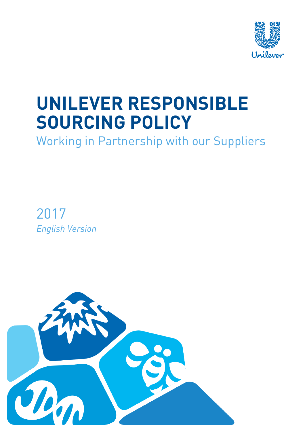

# **UNILEVER RESPONSIBLE SOURCING POLICY**

Working in Partnership with our Suppliers

2017 *English Version*

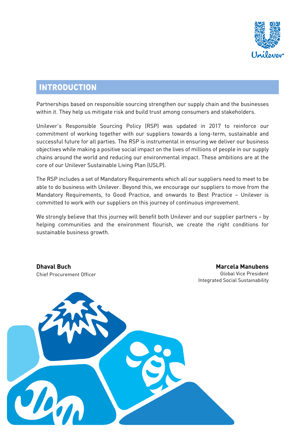

# **INTRODUCTION**

Partnerships based on responsible sourcing strengthen our supply chain and the businesses within it. They help us mitigate risk and build trust among consumers and stakeholders.

Unilever's Responsible Sourcing Policy (RSP) was updated in 2017 to reinforce our commitment of working together with our suppliers towards a long-term, sustainable and successful future for all parties. The RSP is instrumental in ensuring we deliver our business objectives while making a positive social impact on the lives of millions of people in our supply chains around the world and reducing our environmental impact. These ambitions are at the core of our Unilever Sustainable Living Plan (USLP).

The RSP includes a set of Mandatory Requirements which all our suppliers need to meet to be able to do business with Unilever. Beyond this, we encourage our suppliers to move from the Mandatory Requirements, to Good Practice, and onwards to Best Practice – Unilever is committed to work with our suppliers on this journey of continuous improvement.

We strongly believe that this journey will benefit both Unilever and our supplier partners - by helping communities and the environment flourish, we create the right conditions for sustainable business growth.

**Dhaval Buch** Chief Procurement Officer

**Marcela Manubens** Global Vice President Integrated Social Sustainability

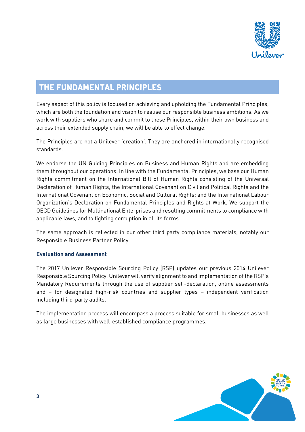

# **THE FUNDAMENTAL PRINCIPLES**

Every aspect of this policy is focused on achieving and upholding the Fundamental Principles, which are both the foundation and vision to realise our responsible business ambitions. As we work with suppliers who share and commit to these Principles, within their own business and across their extended supply chain, we will be able to effect change.

The Principles are not a Unilever 'creation'. They are anchored in internationally recognised standards.

We endorse the UN Guiding Principles on Business and Human Rights and are embedding them throughout our operations. In line with the Fundamental Principles, we base our Human Rights commitment on the International Bill of Human Rights consisting of the Universal Declaration of Human Rights, the International Covenant on Civil and Political Rights and the International Covenant on Economic, Social and Cultural Rights; and the International Labour Organization's Declaration on Fundamental Principles and Rights at Work. We support the OECD Guidelines for Multinational Enterprises and resulting commitments to compliance with applicable laws, and to fighting corruption in all its forms.

The same approach is reflected in our other third party compliance materials, notably our Responsible Business Partner Policy.

# **Evaluation and Assessment**

The 2017 Unilever Responsible Sourcing Policy (RSP) updates our previous 2014 Unilever Responsible Sourcing Policy. Unilever will verify alignment to and implementation of the RSP's Mandatory Requirements through the use of supplier self-declaration, online assessments and – for designated high-risk countries and supplier types – independent verification including third-party audits.

The implementation process will encompass a process suitable for small businesses as well as large businesses with well-established compliance programmes.

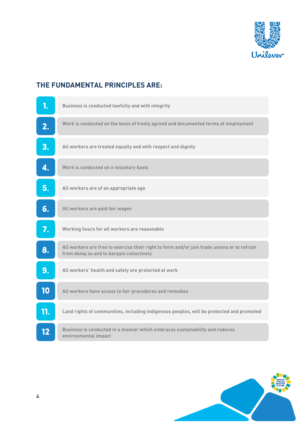

# **THE FUNDAMENTAL PRINCIPLES ARE:**

|     | Business is conducted lawfully and with integrity                                                                                        |
|-----|------------------------------------------------------------------------------------------------------------------------------------------|
| 2.  | Work is conducted on the basis of freely agreed and documented terms of employment                                                       |
| 3.  | All workers are treated equally and with respect and dignity                                                                             |
| 4.  | Work is conducted on a voluntary basis                                                                                                   |
| 5.  | All workers are of an appropriate age                                                                                                    |
| 6.  | All workers are paid fair wages                                                                                                          |
| 7.  | Working hours for all workers are reasonable                                                                                             |
| 8.  | All workers are free to exercise their right to form and/or join trade unions or to refrain<br>from doing so and to bargain collectively |
| 9.  | All workers' health and safety are protected at work                                                                                     |
| 10  | All workers have access to fair procedures and remedies                                                                                  |
| 11. | Land rights of communities, including indigenous peoples, will be protected and promoted                                                 |
| 12  | Business is conducted in a manner which embraces sustainability and reduces<br>environmental impact                                      |

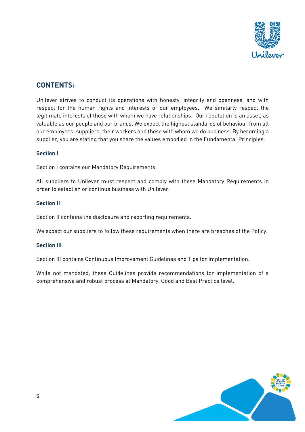

# **CONTENTS:**

Unilever strives to conduct its operations with honesty, integrity and openness, and with respect for the human rights and interests of our employees. We similarly respect the legitimate interests of those with whom we have relationships. Our reputation is an asset, as valuable as our people and our brands. We expect the highest standards of behaviour from all our employees, suppliers, their workers and those with whom we do business. By becoming a supplier, you are stating that you share the values embodied in the Fundamental Principles.

# **Section I**

Section I contains our Mandatory Requirements.

All suppliers to Unilever must respect and comply with these Mandatory Requirements in order to establish or continue business with Unilever.

# **Section II**

Section II contains the disclosure and reporting requirements.

We expect our suppliers to follow these requirements when there are breaches of the Policy.

#### **Section III**

Section III contains Continuous Improvement Guidelines and Tips for Implementation.

While not mandated, these Guidelines provide recommendations for implementation of a comprehensive and robust process at Mandatory, Good and Best Practice level.

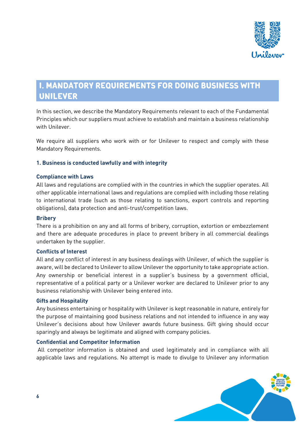

# **I. MANDATORY REQUIREMENTS FOR DOING BUSINESS WITH UNILEVER**

In this section, we describe the Mandatory Requirements relevant to each of the Fundamental Principles which our suppliers must achieve to establish and maintain a business relationship with Unilever.

We require all suppliers who work with or for Unilever to respect and comply with these Mandatory Requirements.

# **1. Business is conducted lawfully and with integrity**

#### **Compliance with Laws**

All laws and regulations are complied with in the countries in which the supplier operates. All other applicable international laws and regulations are complied with including those relating to international trade (such as those relating to sanctions, export controls and reporting obligations), data protection and anti-trust/competition laws.

#### **Bribery**

There is a prohibition on any and all forms of bribery, corruption, extortion or embezzlement and there are adequate procedures in place to prevent bribery in all commercial dealings undertaken by the supplier.

#### **Conflicts of Interest**

All and any conflict of interest in any business dealings with Unilever, of which the supplier is aware, will be declared to Unilever to allow Unilever the opportunity to take appropriate action. Any ownership or beneficial interest in a supplier's business by a government official, representative of a political party or a Unilever worker are declared to Unilever prior to any business relationship with Unilever being entered into.

#### **Gifts and Hospitality**

Any business entertaining or hospitality with Unilever is kept reasonable in nature, entirely for the purpose of maintaining good business relations and not intended to influence in any way Unilever's decisions about how Unilever awards future business. Gift giving should occur sparingly and always be legitimate and aligned with company policies.

#### **Confidential and Competitor Information**

All competitor information is obtained and used legitimately and in compliance with all applicable laws and regulations. No attempt is made to divulge to Unilever any information

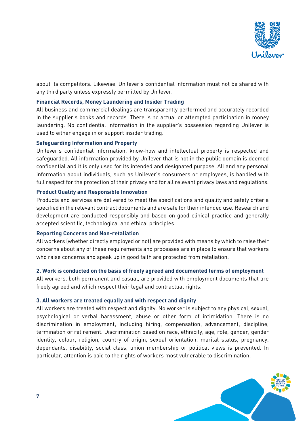

about its competitors. Likewise, Unilever's confidential information must not be shared with any third party unless expressly permitted by Unilever.

## **Financial Records, Money Laundering and Insider Trading**

All business and commercial dealings are transparently performed and accurately recorded in the supplier's books and records. There is no actual or attempted participation in money laundering. No confidential information in the supplier's possession regarding Unilever is used to either engage in or support insider trading.

#### **Safeguarding Information and Property**

Unilever's confidential information, know-how and intellectual property is respected and safeguarded. All information provided by Unilever that is not in the public domain is deemed confidential and it is only used for its intended and designated purpose. All and any personal information about individuals, such as Unilever's consumers or employees, is handled with full respect for the protection of their privacy and for all relevant privacy laws and regulations.

# **Product Quality and Responsible Innovation**

Products and services are delivered to meet the specifications and quality and safety criteria specified in the relevant contract documents and are safe for their intended use. Research and development are conducted responsibly and based on good clinical practice and generally accepted scientific, technological and ethical principles.

#### **Reporting Concerns and Non-retaliation**

All workers (whether directly employed or not) are provided with means by which to raise their concerns about any of these requirements and processes are in place to ensure that workers who raise concerns and speak up in good faith are protected from retaliation.

#### **2. Work is conducted on the basis of freely agreed and documented terms of employment**

All workers, both permanent and casual, are provided with employment documents that are freely agreed and which respect their legal and contractual rights.

#### **3. All workers are treated equally and with respect and dignity**

All workers are treated with respect and dignity. No worker is subject to any physical, sexual, psychological or verbal harassment, abuse or other form of intimidation. There is no discrimination in employment, including hiring, compensation, advancement, discipline, termination or retirement. Discrimination based on race, ethnicity, age, role, gender, gender identity, colour, religion, country of origin, sexual orientation, marital status, pregnancy, dependants, disability, social class, union membership or political views is prevented. In particular, attention is paid to the rights of workers most vulnerable to discrimination.

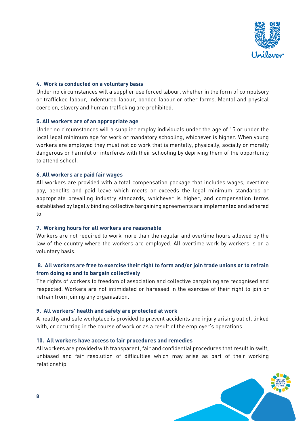

# **4. Work is conducted on a voluntary basis**

Under no circumstances will a supplier use forced labour, whether in the form of compulsory or trafficked labour, indentured labour, bonded labour or other forms. Mental and physical coercion, slavery and human trafficking are prohibited.

#### **5. All workers are of an appropriate age**

Under no circumstances will a supplier employ individuals under the age of 15 or under the local legal minimum age for work or mandatory schooling, whichever is higher. When young workers are employed they must not do work that is mentally, physically, socially or morally dangerous or harmful or interferes with their schooling by depriving them of the opportunity to attend school.

#### **6. All workers are paid fair wages**

All workers are provided with a total compensation package that includes wages, overtime pay, benefits and paid leave which meets or exceeds the legal minimum standards or appropriate prevailing industry standards, whichever is higher, and compensation terms established by legally binding collective bargaining agreements are implemented and adhered to.

#### **7. Working hours for all workers are reasonable**

Workers are not required to work more than the regular and overtime hours allowed by the law of the country where the workers are employed. All overtime work by workers is on a voluntary basis.

# **8. All workers are free to exercise their right to form and/or join trade unions or to refrain from doing so and to bargain collectively**

The rights of workers to freedom of association and collective bargaining are recognised and respected. Workers are not intimidated or harassed in the exercise of their right to join or refrain from joining any organisation.

#### **9. All workers' health and safety are protected at work**

A healthy and safe workplace is provided to prevent accidents and injury arising out of, linked with, or occurring in the course of work or as a result of the employer's operations.

#### **10. All workers have access to fair procedures and remedies**

All workers are provided with transparent, fair and confidential procedures that result in swift, unbiased and fair resolution of difficulties which may arise as part of their working relationship.

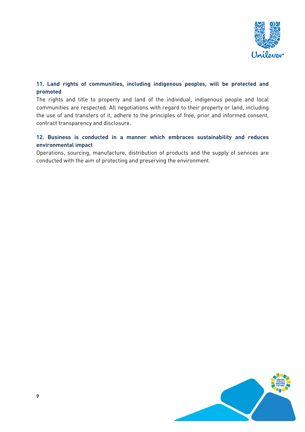

# **11. Land rights of communities, including indigenous peoples, will be protected and promoted**

The rights and title to property and land of the individual, indigenous people and local communities are respected. All negotiations with regard to their property or land, including the use of and transfers of it, adhere to the principles of free, prior and informed consent, contract transparency and disclosure.

# **12. Business is conducted in a manner which embraces sustainability and reduces environmental impact**

Operations, sourcing, manufacture, distribution of products and the supply of services are conducted with the aim of protecting and preserving the environment.

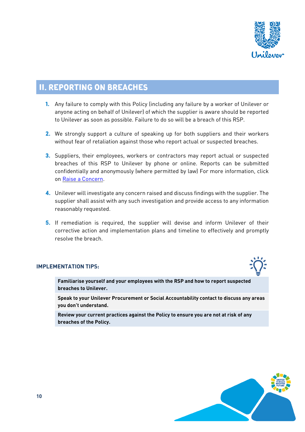

# **II. REPORTING ON BREACHES**

- **1.** Any failure to comply with this Policy (including any failure by a worker of Unilever or anyone acting on behalf of Unilever) of which the supplier is aware should be reported to Unilever as soon as possible. Failure to do so will be a breach of this RSP.
- **2.** We strongly support a culture of speaking up for both suppliers and their workers without fear of retaliation against those who report actual or suspected breaches.
- **3.** Suppliers, their employees, workers or contractors may report actual or suspected breaches of this RSP to Unilever by phone or online. Reports can be submitted confidentially and anonymously (where permitted by law) For more information, click on Raise a [Concern.](https://www.unilevercodesupportline.com/)
- **4.** Unilever will investigate any concern raised and discuss findings with the supplier. The supplier shall assist with any such investigation and provide access to any information reasonably requested.
- **5.** If remediation is required, the supplier will devise and inform Unilever of their corrective action and implementation plans and timeline to effectively and promptly resolve the breach.

# **IMPLEMENTATION TIPS:**

**Familiarise yourself and your employees with the RSP and how to report suspected breaches to Unilever.**

**Speak to your Unilever Procurement or Social Accountability contact to discuss any areas you don't understand.**

**Review your current practices against the Policy to ensure you are not at risk of any breaches of the Policy.**

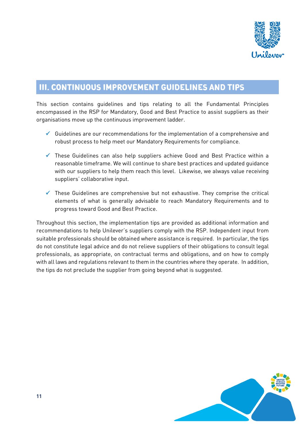

# **III. CONTINUOUS IMPROVEMENT GUIDELINES AND TIPS**

This section contains guidelines and tips relating to all the Fundamental Principles encompassed in the RSP for Mandatory, Good and Best Practice to assist suppliers as their organisations move up the continuous improvement ladder.

- $\checkmark$  Guidelines are our recommendations for the implementation of a comprehensive and robust process to help meet our Mandatory Requirements for compliance.
- $\checkmark$  These Guidelines can also help suppliers achieve Good and Best Practice within a reasonable timeframe. We will continue to share best practices and updated guidance with our suppliers to help them reach this level. Likewise, we always value receiving suppliers' collaborative input.
- $\checkmark$  These Guidelines are comprehensive but not exhaustive. They comprise the critical elements of what is generally advisable to reach Mandatory Requirements and to progress toward Good and Best Practice.

Throughout this section, the implementation tips are provided as additional information and recommendations to help Unilever's suppliers comply with the RSP. Independent input from suitable professionals should be obtained where assistance is required. In particular, the tips do not constitute legal advice and do not relieve suppliers of their obligations to consult legal professionals, as appropriate, on contractual terms and obligations, and on how to comply with all laws and regulations relevant to them in the countries where they operate. In addition, the tips do not preclude the supplier from going beyond what is suggested.

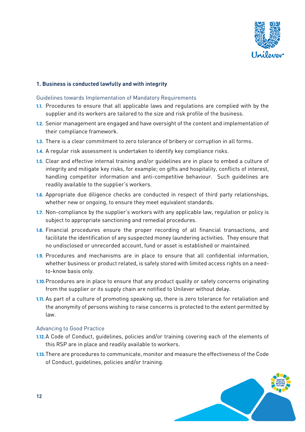

# **1. Business is conducted lawfully and with integrity**

#### Guidelines towards Implementation of Mandatory Requirements

- **1.1.** Procedures to ensure that all applicable laws and regulations are complied with by the supplier and its workers are tailored to the size and risk profile of the business.
- **1.2.** Senior management are engaged and have oversight of the content and implementation of their compliance framework.
- **1.3.** There is a clear commitment to zero tolerance of bribery or corruption in all forms.
- **1.4.** A regular risk assessment is undertaken to identify key compliance risks.
- **1.5.** Clear and effective internal training and/or guidelines are in place to embed a culture of integrity and mitigate key risks, for example; on gifts and hospitality, conflicts of interest, handling competitor information and anti-competitive behaviour. Such guidelines are readily available to the supplier's workers.
- **1.6.** Appropriate due diligence checks are conducted in respect of third party relationships, whether new or ongoing, to ensure they meet equivalent standards.
- **1.7.** Non-compliance by the supplier's workers with any applicable law, regulation or policy is subject to appropriate sanctioning and remedial procedures.
- **1.8.** Financial procedures ensure the proper recording of all financial transactions, and facilitate the identification of any suspected money laundering activities. They ensure that no undisclosed or unrecorded account, fund or asset is established or maintained.
- **1.9.** Procedures and mechanisms are in place to ensure that all confidential information, whether business or product related, is safely stored with limited access rights on a needto-know basis only.
- **1.10.**Procedures are in place to ensure that any product quality or safety concerns originating from the supplier or its supply chain are notified to Unilever without delay.
- **1.11.** As part of a culture of promoting speaking up, there is zero tolerance for retaliation and the anonymity of persons wishing to raise concerns is protected to the extent permitted by law.

#### Advancing to Good Practice

- **1.12.**A Code of Conduct, guidelines, policies and/or training covering each of the elements of this RSP are in place and readily available to workers.
- **1.13.**There are procedures to communicate, monitor and measure the effectiveness of the Code of Conduct, guidelines, policies and/or training.

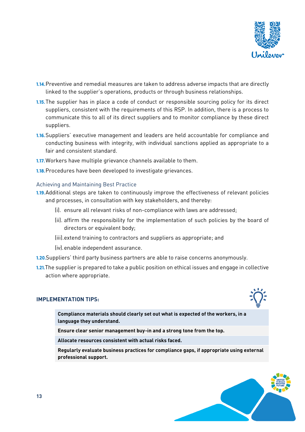

- **1.14.**Preventive and remedial measures are taken to address adverse impacts that are directly linked to the supplier's operations, products or through business relationships.
- **1.15.**The supplier has in place a code of conduct or responsible sourcing policy for its direct suppliers, consistent with the requirements of this RSP. In addition, there is a process to communicate this to all of its direct suppliers and to monitor compliance by these direct suppliers.
- **1.16.**Suppliers' executive management and leaders are held accountable for compliance and conducting business with integrity, with individual sanctions applied as appropriate to a fair and consistent standard.
- **1.17.**Workers have multiple grievance channels available to them.
- **1.18.**Procedures have been developed to investigate grievances.

#### Achieving and Maintaining Best Practice

- **1.19.**Additional steps are taken to continuously improve the effectiveness of relevant policies and processes, in consultation with key stakeholders, and thereby:
	- (i). ensure all relevant risks of non-compliance with laws are addressed;
	- (ii). affirm the responsibility for the implementation of such policies by the board of directors or equivalent body;
	- (iii).extend training to contractors and suppliers as appropriate; and
	- (iv).enable independent assurance.
- **1.20.**Suppliers' third party business partners are able to raise concerns anonymously.
- **1.21.**The supplier is prepared to take a public position on ethical issues and engage in collective action where appropriate.

#### **IMPLEMENTATION TIPS:**

**Compliance materials should clearly set out what is expected of the workers, in a language they understand.**

**Ensure clear senior management buy-in and a strong tone from the top.**

**Allocate resources consistent with actual risks faced.**

**Regularly evaluate business practices for compliance gaps, if appropriate using external professional support.**

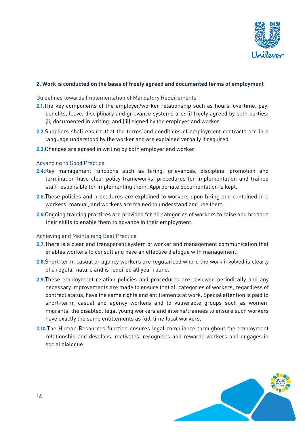

## **2. Work is conducted on the basis of freely agreed and documented terms of employment**

#### Guidelines towards Implementation of Mandatory Requirements

- **2.1.**The key components of the employer/worker relationship such as hours, overtime, pay, benefits, leave, disciplinary and grievance systems are: (i) freely agreed by both parties; (ii) documented in writing; and (iii) signed by the employer and worker.
- **2.2.**Suppliers shall ensure that the terms and conditions of employment contracts are in a language understood by the worker and are explained verbally if required.
- **2.3.**Changes are agreed in writing by both employer and worker.

#### Advancing to Good Practice

- **2.4.**Key management functions such as hiring, grievances, discipline, promotion and termination have clear policy frameworks, procedures for implementation and trained staff responsible for implementing them. Appropriate documentation is kept.
- **2.5.**These policies and procedures are explained to workers upon hiring and contained in a workers' manual, and workers are trained to understand and use them.
- **2.6.**Ongoing training practices are provided for all categories of workers to raise and broaden their skills to enable them to advance in their employment.

#### Achieving and Maintaining Best Practice

- **2.7.**There is a clear and transparent system of worker and management communication that enables workers to consult and have an effective dialogue with management.
- **2.8.**Short-term, casual or agency workers are regularised where the work involved is clearly of a regular nature and is required all year round.
- **2.9.**These employment relation policies and procedures are reviewed periodically and any necessary improvements are made to ensure that all categories of workers, regardless of contract status, have the same rights and entitlements at work. Special attention is paid to short-term, casual and agency workers and to vulnerable groups such as women, migrants, the disabled, legal young workers and interns/trainees to ensure such workers have exactly the same entitlements as full-time local workers.
- **2.10.**The Human Resources function ensures legal compliance throughout the employment relationship and develops, motivates, recognises and rewards workers and engages in social dialogue.

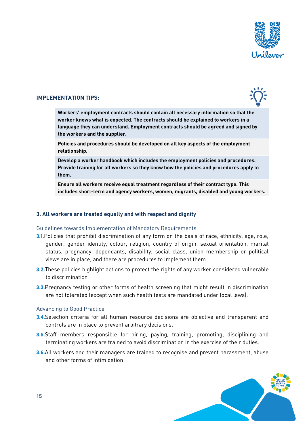

#### **IMPLEMENTATION TIPS:**



**Workers' employment contracts should contain all necessary information so that the worker knows what is expected. The contracts should be explained to workers in a language they can understand. Employment contracts should be agreed and signed by the workers and the supplier.**

**Policies and procedures should be developed on all key aspects of the employment relationship.**

**Develop a worker handbook which includes the employment policies and procedures. Provide training for all workers so they know how the policies and procedures apply to them.**

**Ensure all workers receive equal treatment regardless of their contract type. This includes short-term and agency workers, women, migrants, disabled and young workers.**

#### **3. All workers are treated equally and with respect and dignity**

#### Guidelines towards Implementation of Mandatory Requirements

- **3.1.**Policies that prohibit discrimination of any form on the basis of race, ethnicity, age, role, gender, gender identity, colour, religion, country of origin, sexual orientation, marital status, pregnancy, dependants, disability, social class, union membership or political views are in place, and there are procedures to implement them.
- **3.2.**These policies highlight actions to protect the rights of any worker considered vulnerable to discrimination
- **3.3.**Pregnancy testing or other forms of health screening that might result in discrimination are not tolerated (except when such health tests are mandated under local laws).

#### Advancing to Good Practice

- **3.4.**Selection criteria for all human resource decisions are objective and transparent and controls are in place to prevent arbitrary decisions.
- **3.5.**Staff members responsible for hiring, paying, training, promoting, disciplining and terminating workers are trained to avoid discrimination in the exercise of their duties.
- **3.6.**All workers and their managers are trained to recognise and prevent harassment, abuse and other forms of intimidation.

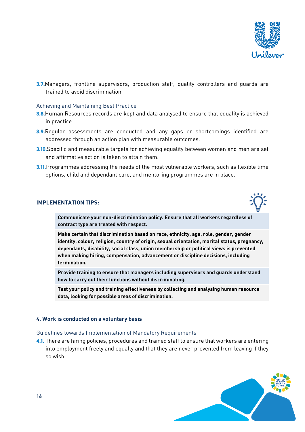

**3.7.**Managers, frontline supervisors, production staff, quality controllers and quards are trained to avoid discrimination.

#### Achieving and Maintaining Best Practice

- **3.8.**Human Resources records are kept and data analysed to ensure that equality is achieved in practice.
- **3.9.**Regular assessments are conducted and any gaps or shortcomings identified are addressed through an action plan with measurable outcomes.
- **3.10.**Specific and measurable targets for achieving equality between women and men are set and affirmative action is taken to attain them.
- **3.11.** Programmes addressing the needs of the most vulnerable workers, such as flexible time options, child and dependant care, and mentoring programmes are in place.

#### **IMPLEMENTATION TIPS:**

**Communicate your non-discrimination policy. Ensure that all workers regardless of contract type are treated with respect.**

**Make certain that discrimination based on race, ethnicity, age, role, gender, gender identity, colour, religion, country of origin, sexual orientation, marital status, pregnancy, dependants, disability, social class, union membership or political views is prevented when making hiring, compensation, advancement or discipline decisions, including termination.**

**Provide training to ensure that managers including supervisors and guards understand how to carry out their functions without discriminating.**

**Test your policy and training effectiveness by collecting and analysing human resource data, looking for possible areas of discrimination.** 

#### **4. Work is conducted on a voluntary basis**

#### Guidelines towards Implementation of Mandatory Requirements

**4.1.** There are hiring policies, procedures and trained staff to ensure that workers are entering into employment freely and equally and that they are never prevented from leaving if they so wish.

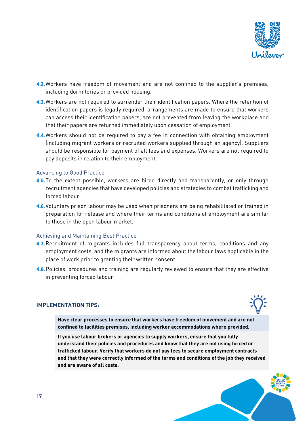

- **4.2.**Workers have freedom of movement and are not confined to the supplier's premises, including dormitories or provided housing.
- **4.3.**Workers are not required to surrender their identification papers. Where the retention of identification papers is legally required, arrangements are made to ensure that workers can access their identification papers, are not prevented from leaving the workplace and that their papers are returned immediately upon cessation of employment.
- **4.4.**Workers should not be required to pay a fee in connection with obtaining employment (including migrant workers or recruited workers supplied through an agency). Suppliers should be responsible for payment of all fees and expenses. Workers are not required to pay deposits in relation to their employment.

#### Advancing to Good Practice

- **4.5.**To the extent possible, workers are hired directly and transparently, or only through recruitment agencies that have developed policies and strategies to combat trafficking and forced labour.
- **4.6.**Voluntary prison labour may be used when prisoners are being rehabilitated or trained in preparation for release and where their terms and conditions of employment are similar to those in the open labour market.

#### Achieving and Maintaining Best Practice

- **4.7.**Recruitment of migrants includes full transparency about terms, conditions and any employment costs, and the migrants are informed about the labour laws applicable in the place of work prior to granting their written consent.
- **4.8.**Policies, procedures and training are regularly reviewed to ensure that they are effective in preventing forced labour.

#### **IMPLEMENTATION TIPS:**



**Have clear processes to ensure that workers have freedom of movement and are not confined to facilities premises, including worker accommodations where provided.**

**If you use labour brokers or agencies to supply workers, ensure that you fully understand their policies and procedures and know that they are not using forced or trafficked labour. Verify that workers do not pay fees to secure employment contracts and that they were correctly informed of the terms and conditions of the job they received and are aware of all costs.**

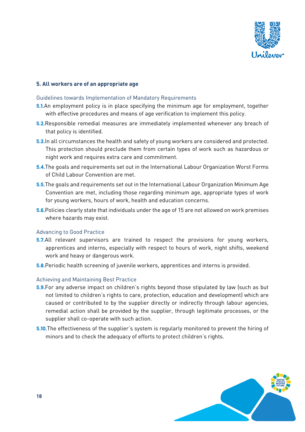

## **5. All workers are of an appropriate age**

#### Guidelines towards Implementation of Mandatory Requirements

- **5.1.**An employment policy is in place specifying the minimum age for employment, together with effective procedures and means of age verification to implement this policy.
- **5.2.**Responsible remedial measures are immediately implemented whenever any breach of that policy is identified.
- **5.3.**In all circumstances the health and safety of young workers are considered and protected. This protection should preclude them from certain types of work such as hazardous or night work and requires extra care and commitment.
- **5.4.**The goals and requirements set out in the International Labour Organization Worst Forms of Child Labour Convention are met.
- **5.5.**The goals and requirements set out in the International Labour Organization Minimum Age Convention are met, including those regarding minimum age, appropriate types of work for young workers, hours of work, health and education concerns.
- **5.6.**Policies clearly state that individuals under the age of 15 are not allowed on work premises where hazards may exist.

#### Advancing to Good Practice

- **5.7.**All relevant supervisors are trained to respect the provisions for young workers, apprentices and interns, especially with respect to hours of work, night shifts, weekend work and heavy or dangerous work.
- **5.8.**Periodic health screening of juvenile workers, apprentices and interns is provided.

#### Achieving and Maintaining Best Practice

- **5.9.**For any adverse impact on children's rights beyond those stipulated by law (such as but not limited to children's rights to care, protection, education and development) which are caused or contributed to by the supplier directly or indirectly through labour agencies, remedial action shall be provided by the supplier, through legitimate processes, or the supplier shall co-operate with such action.
- **5.10.**The effectiveness of the supplier's system is regularly monitored to prevent the hiring of minors and to check the adequacy of efforts to protect children's rights.

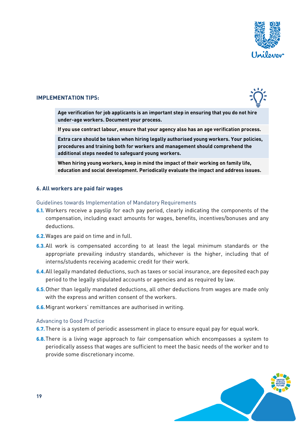

## **IMPLEMENTATION TIPS:**



**Age verification for job applicants is an important step in ensuring that you do not hire under-age workers. Document your process.**

**If you use contract labour, ensure that your agency also has an age verification process.**

**Extra care should be taken when hiring legally authorised young workers. Your policies, procedures and training both for workers and management should comprehend the additional steps needed to safeguard young workers.** 

**When hiring young workers, keep in mind the impact of their working on family life, education and social development. Periodically evaluate the impact and address issues.**

#### **6. All workers are paid fair wages**

Guidelines towards Implementation of Mandatory Requirements

- **6.1.** Workers receive a payslip for each pay period, clearly indicating the components of the compensation, including exact amounts for wages, benefits, incentives/bonuses and any deductions.
- **6.2.**Wages are paid on time and in full.
- **6.3.**All work is compensated according to at least the legal minimum standards or the appropriate prevailing industry standards, whichever is the higher, including that of interns/students receiving academic credit for their work.
- **6.4.**All legally mandated deductions, such as taxes or social insurance, are deposited each pay period to the legally stipulated accounts or agencies and as required by law.
- **6.5.**Other than legally mandated deductions, all other deductions from wages are made only with the express and written consent of the workers.
- **6.6.**Migrant workers' remittances are authorised in writing.

#### Advancing to Good Practice

- **6.7.**There is a system of periodic assessment in place to ensure equal pay for equal work.
- **6.8.**There is a living wage approach to fair compensation which encompasses a system to periodically assess that wages are sufficient to meet the basic needs of the worker and to provide some discretionary income.

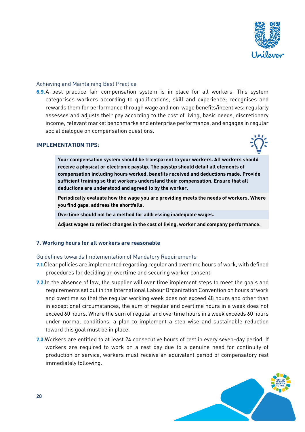

# Achieving and Maintaining Best Practice

**6.9.**A best practice fair compensation system is in place for all workers. This system categorises workers according to qualifications, skill and experience; recognises and rewards them for performance through wage and non-wage benefits/incentives; regularly assesses and adjusts their pay according to the cost of living, basic needs, discretionary income, relevant market benchmarks and enterprise performance; and engages in regular social dialogue on compensation questions.

#### **IMPLEMENTATION TIPS:**



**Your compensation system should be transparent to your workers. All workers should receive a physical or electronic payslip. The payslip should detail all elements of compensation including hours worked, benefits received and deductions made. Provide sufficient training so that workers understand their compensation. Ensure that all deductions are understood and agreed to by the worker.** 

**Periodically evaluate how the wage you are providing meets the needs of workers. Where you find gaps, address the shortfalls.** 

**Overtime should not be a method for addressing inadequate wages.**

**Adjust wages to reflect changes in the cost of living, worker and company performance.**

#### **7. Working hours for all workers are reasonable**

#### Guidelines towards Implementation of Mandatory Requirements

- **7.1.**Clear policies are implemented regarding regular and overtime hours of work, with defined procedures for deciding on overtime and securing worker consent.
- **7.2.**In the absence of law, the supplier will over time implement steps to meet the goals and requirements set out in the International Labour Organization Convention on hours of work and overtime so that the regular working week does not exceed 48 hours and other than in exceptional circumstances, the sum of regular and overtime hours in a week does not exceed 60 hours. Where the sum of regular and overtime hours in a week exceeds 60 hours under normal conditions, a plan to implement a step-wise and sustainable reduction toward this goal must be in place.
- **7.3.**Workers are entitled to at least 24 consecutive hours of rest in every seven-day period. If workers are required to work on a rest day due to a genuine need for continuity of production or service, workers must receive an equivalent period of compensatory rest immediately following.

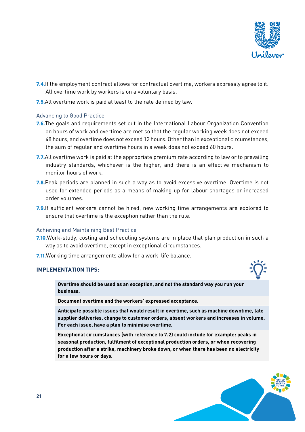

- **7.4.**If the employment contract allows for contractual overtime, workers expressly agree to it. All overtime work by workers is on a voluntary basis.
- **7.5.**All overtime work is paid at least to the rate defined by law.

# Advancing to Good Practice

- **7.6.**The goals and requirements set out in the International Labour Organization Convention on hours of work and overtime are met so that the regular working week does not exceed 48 hours, and overtime does not exceed 12 hours. Other than in exceptional circumstances, the sum of regular and overtime hours in a week does not exceed 60 hours.
- **7.7.**All overtime work is paid at the appropriate premium rate according to law or to prevailing industry standards, whichever is the higher, and there is an effective mechanism to monitor hours of work.
- **7.8.**Peak periods are planned in such a way as to avoid excessive overtime. Overtime is not used for extended periods as a means of making up for labour shortages or increased order volumes.
- **7.9.**If sufficient workers cannot be hired, new working time arrangements are explored to ensure that overtime is the exception rather than the rule.

#### Achieving and Maintaining Best Practice

- **7.10.**Work-study, costing and scheduling systems are in place that plan production in such a way as to avoid overtime, except in exceptional circumstances.
- **7.11.**Working time arrangements allow for a work–life balance.

#### **IMPLEMENTATION TIPS:**



**Document overtime and the workers' expressed acceptance.**

**Anticipate possible issues that would result in overtime, such as machine downtime, late supplier deliveries, change to customer orders, absent workers and increases in volume. For each issue, have a plan to minimise overtime.**

**Exceptional circumstances (with reference to 7.2) could include for example: peaks in seasonal production, fulfilment of exceptional production orders, or when recovering production after a strike, machinery broke down, or when there has been no electricity for a few hours or days.** 

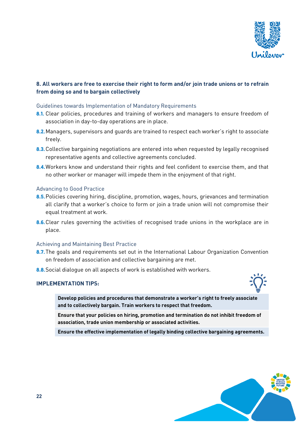

# **8. All workers are free to exercise their right to form and/or join trade unions or to refrain from doing so and to bargain collectively**

## Guidelines towards Implementation of Mandatory Requirements

- **8.1.** Clear policies, procedures and training of workers and managers to ensure freedom of association in day-to-day operations are in place.
- **8.2.**Managers, supervisors and guards are trained to respect each worker's right to associate freely.
- **8.3.**Collective bargaining negotiations are entered into when requested by legally recognised representative agents and collective agreements concluded.
- **8.4.**Workers know and understand their rights and feel confident to exercise them, and that no other worker or manager will impede them in the enjoyment of that right.

#### Advancing to Good Practice

- **8.5.**Policies covering hiring, discipline, promotion, wages, hours, grievances and termination all clarify that a worker's choice to form or join a trade union will not compromise their equal treatment at work.
- **8.6.**Clear rules governing the activities of recognised trade unions in the workplace are in place.

#### Achieving and Maintaining Best Practice

- **8.7.**The goals and requirements set out in the International Labour Organization Convention on freedom of association and collective bargaining are met.
- **8.8.**Social dialogue on all aspects of work is established with workers.

## **IMPLEMENTATION TIPS:**



**Develop policies and procedures that demonstrate a worker's right to freely associate and to collectively bargain. Train workers to respect that freedom.**

**Ensure that your policies on hiring, promotion and termination do not inhibit freedom of association, trade union membership or associated activities.**

**Ensure the effective implementation of legally binding collective bargaining agreements.**

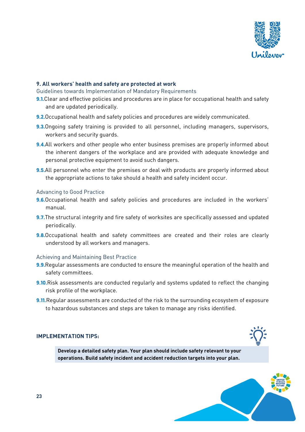

## **9. All workers' health and safety are protected at work**

Guidelines towards Implementation of Mandatory Requirements

- **9.1.**Clear and effective policies and procedures are in place for occupational health and safety and are updated periodically.
- **9.2.**Occupational health and safety policies and procedures are widely communicated.
- **9.3.**Ongoing safety training is provided to all personnel, including managers, supervisors, workers and security guards.
- **9.4.**All workers and other people who enter business premises are properly informed about the inherent dangers of the workplace and are provided with adequate knowledge and personal protective equipment to avoid such dangers.
- **9.5.**All personnel who enter the premises or deal with products are properly informed about the appropriate actions to take should a health and safety incident occur.

#### Advancing to Good Practice

- **9.6.**Occupational health and safety policies and procedures are included in the workers' manual.
- **9.7.**The structural integrity and fire safety of worksites are specifically assessed and updated periodically.
- **9.8.**Occupational health and safety committees are created and their roles are clearly understood by all workers and managers.

#### Achieving and Maintaining Best Practice

- **9.9.**Regular assessments are conducted to ensure the meaningful operation of the health and safety committees.
- **9.10.**Risk assessments are conducted regularly and systems updated to reflect the changing risk profile of the workplace.
- **9.11.**Regular assessments are conducted of the risk to the surrounding ecosystem of exposure to hazardous substances and steps are taken to manage any risks identified.

# **IMPLEMENTATION TIPS:**

**Develop a detailed safety plan. Your plan should include safety relevant to your operations. Build safety incident and accident reduction targets into your plan.**

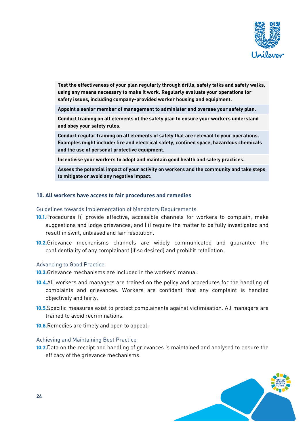

**Test the effectiveness of your plan regularly through drills, safety talks and safety walks, using any means necessary to make it work. Regularly evaluate your operations for safety issues, including company-provided worker housing and equipment.**

**Appoint a senior member of management to administer and oversee your safety plan.**

**Conduct training on all elements of the safety plan to ensure your workers understand and obey your safety rules.**

**Conduct regular training on all elements of safety that are relevant to your operations. Examples might include: fire and electrical safety, confined space, hazardous chemicals and the use of personal protective equipment.**

**Incentivise your workers to adopt and maintain good health and safety practices.**

**Assess the potential impact of your activity on workers and the community and take steps to mitigate or avoid any negative impact.**

#### **10. All workers have access to fair procedures and remedies**

Guidelines towards Implementation of Mandatory Requirements

- **10.1.**Procedures (i) provide effective, accessible channels for workers to complain, make suggestions and lodge grievances; and (ii) require the matter to be fully investigated and result in swift, unbiased and fair resolution.
- **10.2.**Grievance mechanisms channels are widely communicated and guarantee the confidentiality of any complainant (if so desired) and prohibit retaliation.

#### Advancing to Good Practice

- **10.3.**Grievance mechanisms are included in the workers' manual.
- **10.4.**All workers and managers are trained on the policy and procedures for the handling of complaints and grievances. Workers are confident that any complaint is handled objectively and fairly.
- **10.5.**Specific measures exist to protect complainants against victimisation. All managers are trained to avoid recriminations.
- **10.6.**Remedies are timely and open to appeal.

#### Achieving and Maintaining Best Practice

**10.7.**Data on the receipt and handling of grievances is maintained and analysed to ensure the efficacy of the grievance mechanisms.

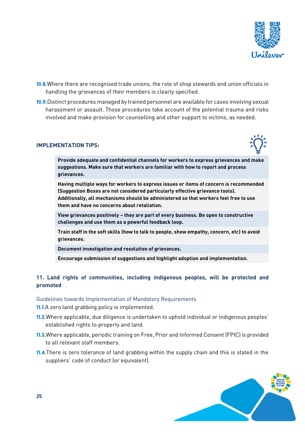

- **10.8.**Where there are recognised trade unions, the role of shop stewards and union officials in handling the grievances of their members is clearly specified.
- **10.9.**Distinct procedures managed by trained personnel are available for cases involving sexual harassment or assault. Those procedures take account of the potential trauma and risks involved and make provision for counselling and other support to victims, as needed.

# **IMPLEMENTATION TIPS:**



**Provide adequate and confidential channels for workers to express grievances and make suggestions. Make sure that workers are familiar with how to report and process grievances.**

**Having multiple ways for workers to express issues or items of concern is recommended (Suggestion Boxes are not considered particularly effective grievance tools). Additionally, all mechanisms should be administered so that workers feel free to use them and have no concerns about retaliation.**

**View grievances positively – they are part of every business. Be open to constructive challenges and use them as a powerful feedback loop.**

**Train staff in the soft skills (how to talk to people, show empathy, concern, etc) to avoid grievances.**

**Document investigation and resolution of grievances.** 

**Encourage submission of suggestions and highlight adoption and implementation.**

# **11. Land rights of communities, including indigenous peoples, will be protected and promoted**

#### Guidelines towards Implementation of Mandatory Requirements

- **11.1.**A zero land grabbing policy is implemented.
- **11.2.**Where applicable, due diligence is undertaken to uphold individual or indigenous peoples' established rights to property and land.
- **11.3.**Where applicable, periodic training on Free, Prior and Informed Consent (FPIC) is provided to all relevant staff members.
- **11.4.**There is zero tolerance of land grabbing within the supply chain and this is stated in the suppliers' code of conduct (or equivalent).

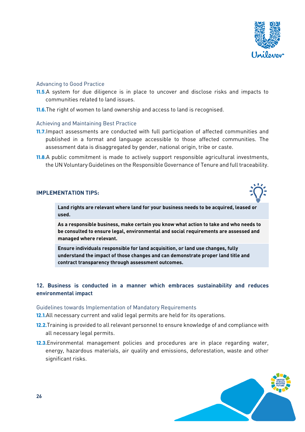

#### Advancing to Good Practice

- **11.5.**A system for due diligence is in place to uncover and disclose risks and impacts to communities related to land issues.
- **11.6.**The right of women to land ownership and access to land is recognised.

#### Achieving and Maintaining Best Practice

- **11.7.**Impact assessments are conducted with full participation of affected communities and published in a format and language accessible to those affected communities. The assessment data is disaggregated by gender, national origin, tribe or caste.
- **11.8.**A public commitment is made to actively support responsible agricultural investments, the UN Voluntary Guidelines on the Responsible Governance of Tenure and full traceability.

#### **IMPLEMENTATION TIPS:**



**Land rights are relevant where land for your business needs to be acquired, leased or used.**

**As a responsible business, make certain you know what action to take and who needs to be consulted to ensure legal, environmental and social requirements are assessed and managed where relevant.** 

**Ensure individuals responsible for land acquisition, or land use changes, fully understand the impact of those changes and can demonstrate proper land title and contract transparency through assessment outcomes.**

# **12. Business is conducted in a manner which embraces sustainability and reduces environmental impact**

#### Guidelines towards Implementation of Mandatory Requirements

**12.1.**All necessary current and valid legal permits are held for its operations.

- **12.2.**Training is provided to all relevant personnel to ensure knowledge of and compliance with all necessary legal permits.
- **12.3.**Environmental management policies and procedures are in place regarding water, energy, hazardous materials, air quality and emissions, deforestation, waste and other significant risks.

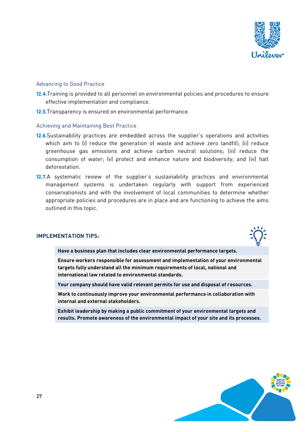

## Advancing to Good Practice

- **12.4.**Training is provided to all personnel on environmental policies and procedures to ensure effective implementation and compliance.
- **12.5.**Transparency is ensured on environmental performance.

#### Achieving and Maintaining Best Practice

- **12.6.**Sustainability practices are embedded across the supplier's operations and activities which aim to (i) reduce the generation of waste and achieve zero landfill; (ii) reduce greenhouse gas emissions and achieve carbon neutral solutions; (iii) reduce the consumption of water; (v) protect and enhance nature and biodiversity; and (vi) halt deforestation.
- **12.7.**A systematic review of the supplier's sustainability practices and environmental management systems is undertaken regularly with support from experienced conservationists and with the involvement of local communities to determine whether appropriate policies and procedures are in place and are functioning to achieve the aims outlined in this topic.

#### **IMPLEMENTATION TIPS:**



**Have a business plan that includes clear environmental performance targets.**

**Ensure workers responsible for assessment and implementation of your environmental targets fully understand all the minimum requirements of local, national and international law related to environmental standards.** 

**Your company should have valid relevant permits for use and disposal of resources.**

**Work to continuously improve your environmental performance in collaboration with internal and external stakeholders.**

**Exhibit leadership by making a public commitment of your environmental targets and results. Promote awareness of the environmental impact of your site and its processes.**